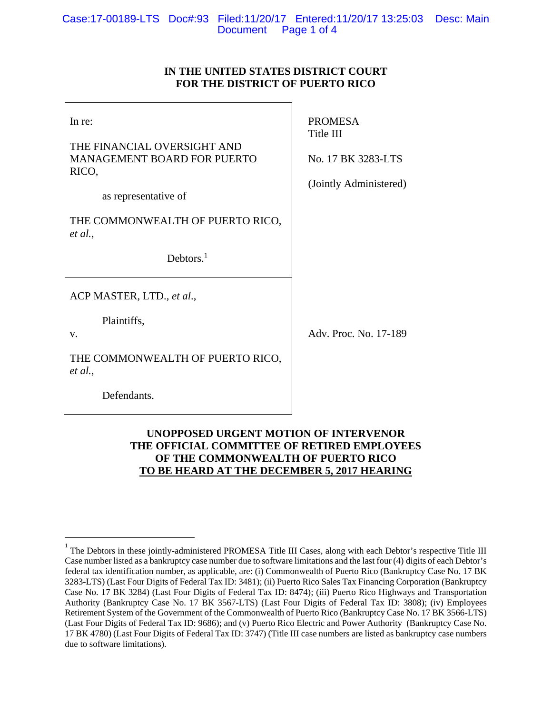# **IN THE UNITED STATES DISTRICT COURT FOR THE DISTRICT OF PUERTO RICO**

| In re:<br>THE FINANCIAL OVERSIGHT AND<br><b>MANAGEMENT BOARD FOR PUERTO</b><br>RICO,<br>as representative of<br>THE COMMONWEALTH OF PUERTO RICO,<br>et al.,<br>Debtors. $1$ | <b>PROMESA</b><br>Title III<br>No. 17 BK 3283-LTS<br>(Jointly Administered) |
|-----------------------------------------------------------------------------------------------------------------------------------------------------------------------------|-----------------------------------------------------------------------------|
| ACP MASTER, LTD., et al.,                                                                                                                                                   |                                                                             |
| Plaintiffs,<br>V.                                                                                                                                                           | Adv. Proc. No. 17-189                                                       |
| THE COMMONWEALTH OF PUERTO RICO,<br>et al.,                                                                                                                                 |                                                                             |
| Defendants.                                                                                                                                                                 |                                                                             |

# **UNOPPOSED URGENT MOTION OF INTERVENOR THE OFFICIAL COMMITTEE OF RETIRED EMPLOYEES OF THE COMMONWEALTH OF PUERTO RICO TO BE HEARD AT THE DECEMBER 5, 2017 HEARING**

 $\overline{a}$ 

<sup>1</sup> The Debtors in these jointly-administered PROMESA Title III Cases, along with each Debtor's respective Title III Case number listed as a bankruptcy case number due to software limitations and the last four (4) digits of each Debtor's federal tax identification number, as applicable, are: (i) Commonwealth of Puerto Rico (Bankruptcy Case No. 17 BK 3283-LTS) (Last Four Digits of Federal Tax ID: 3481); (ii) Puerto Rico Sales Tax Financing Corporation (Bankruptcy Case No. 17 BK 3284) (Last Four Digits of Federal Tax ID: 8474); (iii) Puerto Rico Highways and Transportation Authority (Bankruptcy Case No. 17 BK 3567-LTS) (Last Four Digits of Federal Tax ID: 3808); (iv) Employees Retirement System of the Government of the Commonwealth of Puerto Rico (Bankruptcy Case No. 17 BK 3566-LTS) (Last Four Digits of Federal Tax ID: 9686); and (v) Puerto Rico Electric and Power Authority (Bankruptcy Case No. 17 BK 4780) (Last Four Digits of Federal Tax ID: 3747) (Title III case numbers are listed as bankruptcy case numbers due to software limitations).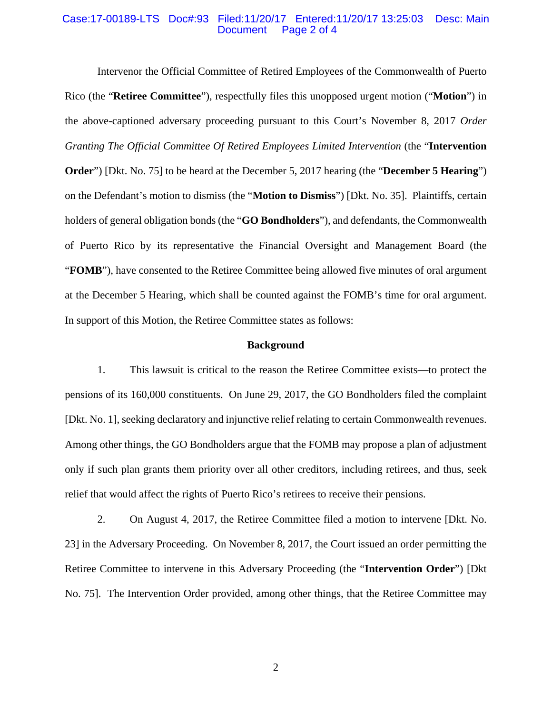### Case:17-00189-LTS Doc#:93 Filed:11/20/17 Entered:11/20/17 13:25:03 Desc: Main Page 2 of 4

Intervenor the Official Committee of Retired Employees of the Commonwealth of Puerto Rico (the "**Retiree Committee**"), respectfully files this unopposed urgent motion ("**Motion**") in the above-captioned adversary proceeding pursuant to this Court's November 8, 2017 *Order Granting The Official Committee Of Retired Employees Limited Intervention* (the "**Intervention Order**") [Dkt. No. 75] to be heard at the December 5, 2017 hearing (the "**December 5 Hearing**") on the Defendant's motion to dismiss (the "**Motion to Dismiss**") [Dkt. No. 35]. Plaintiffs, certain holders of general obligation bonds (the "**GO Bondholders**"), and defendants, the Commonwealth of Puerto Rico by its representative the Financial Oversight and Management Board (the "**FOMB**"), have consented to the Retiree Committee being allowed five minutes of oral argument at the December 5 Hearing, which shall be counted against the FOMB's time for oral argument. In support of this Motion, the Retiree Committee states as follows:

#### **Background**

1. This lawsuit is critical to the reason the Retiree Committee exists—to protect the pensions of its 160,000 constituents. On June 29, 2017, the GO Bondholders filed the complaint [Dkt. No. 1], seeking declaratory and injunctive relief relating to certain Commonwealth revenues. Among other things, the GO Bondholders argue that the FOMB may propose a plan of adjustment only if such plan grants them priority over all other creditors, including retirees, and thus, seek relief that would affect the rights of Puerto Rico's retirees to receive their pensions.

2. On August 4, 2017, the Retiree Committee filed a motion to intervene [Dkt. No. 23] in the Adversary Proceeding. On November 8, 2017, the Court issued an order permitting the Retiree Committee to intervene in this Adversary Proceeding (the "**Intervention Order**") [Dkt No. 75]. The Intervention Order provided, among other things, that the Retiree Committee may

2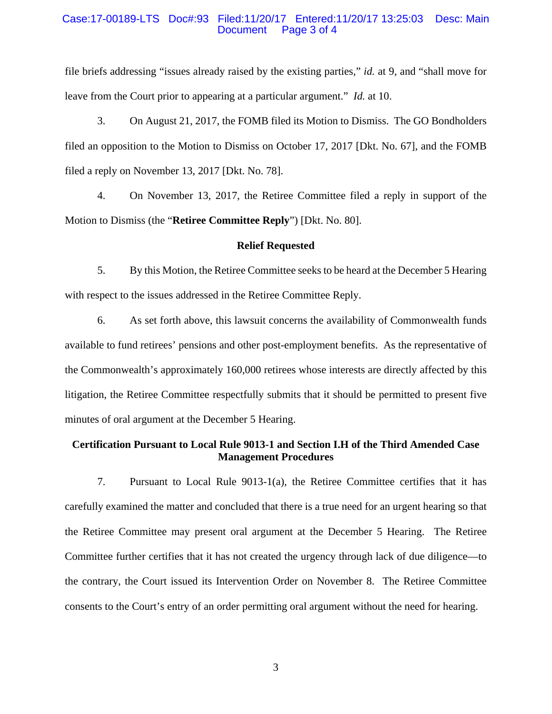### Case:17-00189-LTS Doc#:93 Filed:11/20/17 Entered:11/20/17 13:25:03 Desc: Main Page 3 of 4

file briefs addressing "issues already raised by the existing parties," *id.* at 9, and "shall move for leave from the Court prior to appearing at a particular argument." *Id.* at 10.

3. On August 21, 2017, the FOMB filed its Motion to Dismiss. The GO Bondholders filed an opposition to the Motion to Dismiss on October 17, 2017 [Dkt. No. 67], and the FOMB filed a reply on November 13, 2017 [Dkt. No. 78].

4. On November 13, 2017, the Retiree Committee filed a reply in support of the Motion to Dismiss (the "**Retiree Committee Reply**") [Dkt. No. 80].

### **Relief Requested**

5. By this Motion, the Retiree Committee seeks to be heard at the December 5 Hearing with respect to the issues addressed in the Retiree Committee Reply.

6. As set forth above, this lawsuit concerns the availability of Commonwealth funds available to fund retirees' pensions and other post-employment benefits. As the representative of the Commonwealth's approximately 160,000 retirees whose interests are directly affected by this litigation, the Retiree Committee respectfully submits that it should be permitted to present five minutes of oral argument at the December 5 Hearing.

### **Certification Pursuant to Local Rule 9013-1 and Section I.H of the Third Amended Case Management Procedures**

7. Pursuant to Local Rule 9013-1(a), the Retiree Committee certifies that it has carefully examined the matter and concluded that there is a true need for an urgent hearing so that the Retiree Committee may present oral argument at the December 5 Hearing. The Retiree Committee further certifies that it has not created the urgency through lack of due diligence—to the contrary, the Court issued its Intervention Order on November 8. The Retiree Committee consents to the Court's entry of an order permitting oral argument without the need for hearing.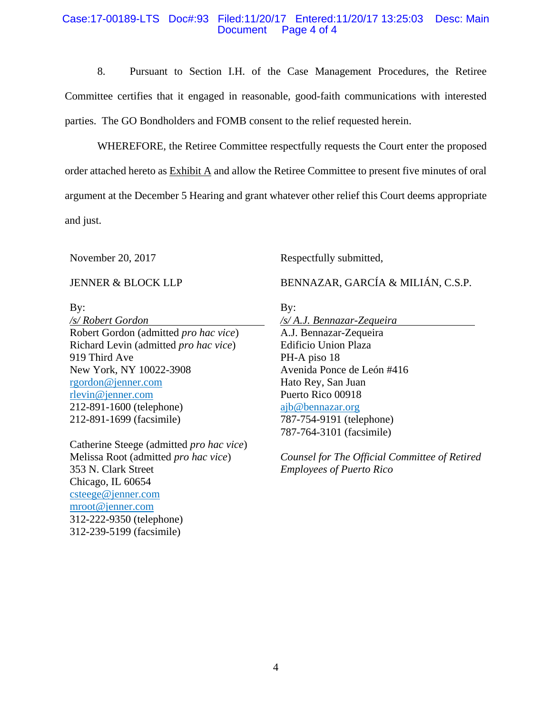### Case:17-00189-LTS Doc#:93 Filed:11/20/17 Entered:11/20/17 13:25:03 Desc: Main Document Page 4 of 4

8. Pursuant to Section I.H. of the Case Management Procedures, the Retiree Committee certifies that it engaged in reasonable, good-faith communications with interested parties. The GO Bondholders and FOMB consent to the relief requested herein.

WHEREFORE, the Retiree Committee respectfully requests the Court enter the proposed order attached hereto as Exhibit A and allow the Retiree Committee to present five minutes of oral argument at the December 5 Hearing and grant whatever other relief this Court deems appropriate and just.

November 20, 2017

JENNER & BLOCK LLP

By:

*/s/ Robert Gordon*  Robert Gordon (admitted *pro hac vice*) Richard Levin (admitted *pro hac vice*) 919 Third Ave New York, NY 10022-3908 rgordon@jenner.com rlevin@jenner.com 212-891-1600 (telephone) 212-891-1699 (facsimile)

Catherine Steege (admitted *pro hac vice*) Melissa Root (admitted *pro hac vice*) 353 N. Clark Street Chicago, IL 60654 csteege@jenner.com mroot@jenner.com 312-222-9350 (telephone) 312-239-5199 (facsimile)

Respectfully submitted,

BENNAZAR, GARCÍA & MILIÁN, C.S.P.

By:

*/s/ A.J. Bennazar-Zequeira*  A.J. Bennazar-Zequeira Edificio Union Plaza PH-A piso 18 Avenida Ponce de León #416 Hato Rey, San Juan Puerto Rico 00918 ajb@bennazar.org 787-754-9191 (telephone) 787-764-3101 (facsimile)

*Counsel for The Official Committee of Retired Employees of Puerto Rico*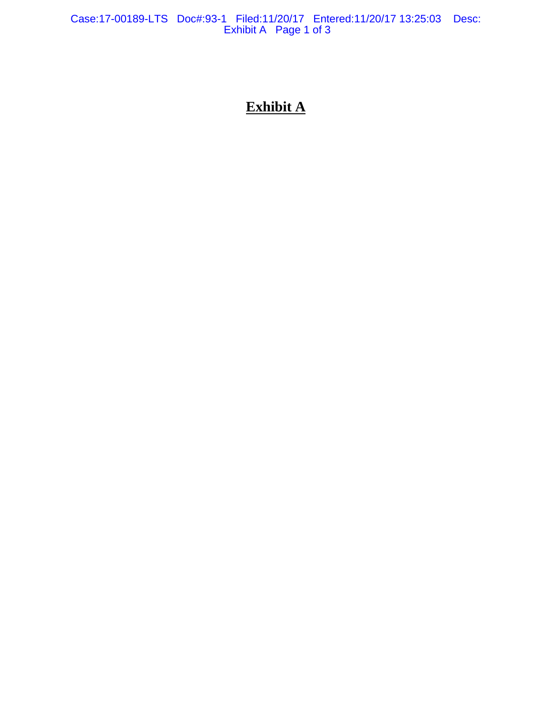Case:17-00189-LTS Doc#:93-1 Filed:11/20/17 Entered:11/20/17 13:25:03 Desc: Exhibit A Page 1 of 3

# **Exhibit A**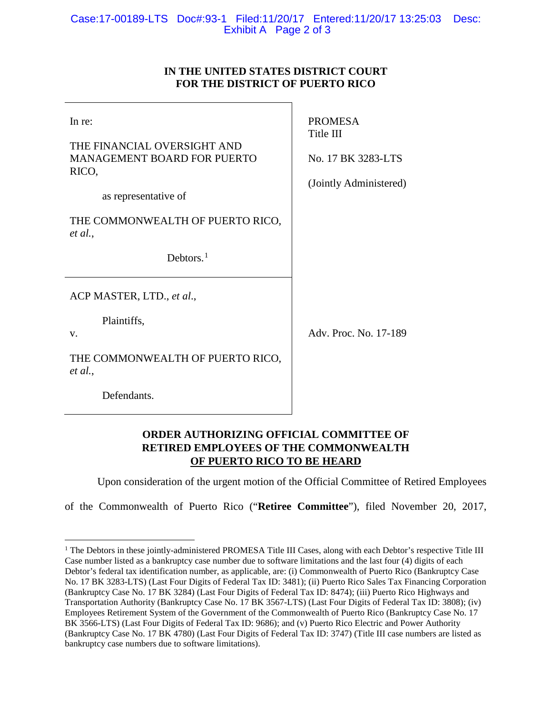## Case:17-00189-LTS Doc#:93-1 Filed:11/20/17 Entered:11/20/17 13:25:03 Desc: Exhibit A Page 2 of 3

# **IN THE UNITED STATES DISTRICT COURT FOR THE DISTRICT OF PUERTO RICO**

| In re:<br>THE FINANCIAL OVERSIGHT AND<br><b>MANAGEMENT BOARD FOR PUERTO</b><br>RICO,<br>as representative of | <b>PROMESA</b><br>Title III<br>No. 17 BK 3283-LTS<br>(Jointly Administered) |
|--------------------------------------------------------------------------------------------------------------|-----------------------------------------------------------------------------|
| THE COMMONWEALTH OF PUERTO RICO,<br>et al.,<br>Debtors. $1$                                                  |                                                                             |
| ACP MASTER, LTD., et al.,<br>Plaintiffs,<br>V.<br>THE COMMONWEALTH OF PUERTO RICO,<br>et al.,                | Adv. Proc. No. 17-189                                                       |
| Defendants.                                                                                                  |                                                                             |

# **ORDER AUTHORIZING OFFICIAL COMMITTEE OF RETIRED EMPLOYEES OF THE COMMONWEALTH OF PUERTO RICO TO BE HEARD**

Upon consideration of the urgent motion of the Official Committee of Retired Employees

of the Commonwealth of Puerto Rico ("**Retiree Committee**"), filed November 20, 2017,

<span id="page-5-0"></span><sup>&</sup>lt;sup>1</sup> The Debtors in these jointly-administered PROMESA Title III Cases, along with each Debtor's respective Title III Case number listed as a bankruptcy case number due to software limitations and the last four (4) digits of each Debtor's federal tax identification number, as applicable, are: (i) Commonwealth of Puerto Rico (Bankruptcy Case No. 17 BK 3283-LTS) (Last Four Digits of Federal Tax ID: 3481); (ii) Puerto Rico Sales Tax Financing Corporation (Bankruptcy Case No. 17 BK 3284) (Last Four Digits of Federal Tax ID: 8474); (iii) Puerto Rico Highways and Transportation Authority (Bankruptcy Case No. 17 BK 3567-LTS) (Last Four Digits of Federal Tax ID: 3808); (iv) Employees Retirement System of the Government of the Commonwealth of Puerto Rico (Bankruptcy Case No. 17 BK 3566-LTS) (Last Four Digits of Federal Tax ID: 9686); and (v) Puerto Rico Electric and Power Authority (Bankruptcy Case No. 17 BK 4780) (Last Four Digits of Federal Tax ID: 3747) (Title III case numbers are listed as bankruptcy case numbers due to software limitations).